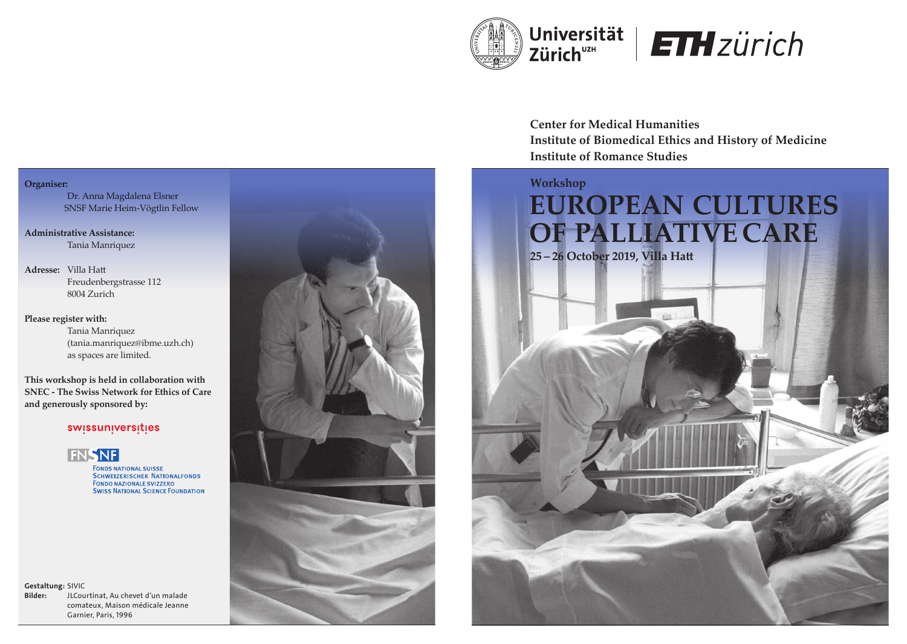

# **ETH** zürich

**Center for Medical Humanities Institute of Biomedical Ethics and History of Medicine Institute of Romance Studies**



## **Organiser:**

 Dr. Anna Magdalena Elsner SNSF Marie Heim-Vögtlin Fellow

**Administrative Assistance:**  Tania Manriquez

Adresse: Villa Hatt Freudenbergstrasse 112 8004 Zurich

**Please register with:**

Tania Manriquez (tania.manriquez@ibme.uzh.ch) as spaces are limited.

**This workshop is held in collaboration with SNEC - The Swiss Network for Ethics of Care and generously sponsored by:**

## swissuniversities



**FONDS NATIONAL SUISSE SCHWEIZERISCHER NATIONALFONDS FONDO NAZIONALE SVIZZERO SWISS NATIONAL SCIENCE FOUNDATION** 

Gestaltung: SIVIC Bilder: JLCourtinat, Au chevet d'un malade comateux, Maison médicale Jeanne Garnier, Paris, 1996